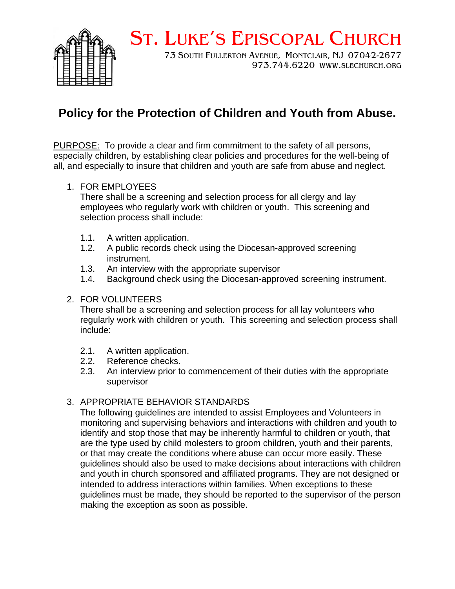

# ST. LUKE'S EPISCOPAL CHURCH

73 SOUTH FULLERTON AVENUE, MONTCLAIR, NJ 07042-2677 973.744.6220 WWW.SLECHURCH.ORG

# **Policy for the Protection of Children and Youth from Abuse.**

PURPOSE: To provide a clear and firm commitment to the safety of all persons, especially children, by establishing clear policies and procedures for the well-being of all, and especially to insure that children and youth are safe from abuse and neglect.

#### 1. FOR EMPLOYEES

There shall be a screening and selection process for all clergy and lay employees who regularly work with children or youth. This screening and selection process shall include:

- 1.1. A written application.
- 1.2. A public records check using the Diocesan-approved screening instrument.
- 1.3. An interview with the appropriate supervisor
- 1.4. Background check using the Diocesan-approved screening instrument.

#### 2. FOR VOLUNTEERS

There shall be a screening and selection process for all lay volunteers who regularly work with children or youth. This screening and selection process shall include:

- 2.1. A written application.
- 2.2. Reference checks.
- 2.3. An interview prior to commencement of their duties with the appropriate supervisor

## 3. APPROPRIATE BEHAVIOR STANDARDS

The following guidelines are intended to assist Employees and Volunteers in monitoring and supervising behaviors and interactions with children and youth to identify and stop those that may be inherently harmful to children or youth, that are the type used by child molesters to groom children, youth and their parents, or that may create the conditions where abuse can occur more easily. These guidelines should also be used to make decisions about interactions with children and youth in church sponsored and affiliated programs. They are not designed or intended to address interactions within families. When exceptions to these guidelines must be made, they should be reported to the supervisor of the person making the exception as soon as possible.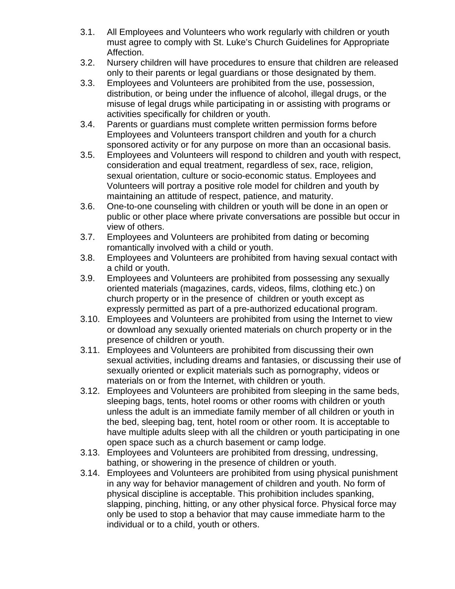- 3.1. All Employees and Volunteers who work regularly with children or youth must agree to comply with St. Luke's Church Guidelines for Appropriate Affection.
- 3.2. Nursery children will have procedures to ensure that children are released only to their parents or legal guardians or those designated by them.
- 3.3. Employees and Volunteers are prohibited from the use, possession, distribution, or being under the influence of alcohol, illegal drugs, or the misuse of legal drugs while participating in or assisting with programs or activities specifically for children or youth.
- 3.4. Parents or guardians must complete written permission forms before Employees and Volunteers transport children and youth for a church sponsored activity or for any purpose on more than an occasional basis.
- 3.5. Employees and Volunteers will respond to children and youth with respect, consideration and equal treatment, regardless of sex, race, religion, sexual orientation, culture or socio-economic status. Employees and Volunteers will portray a positive role model for children and youth by maintaining an attitude of respect, patience, and maturity.
- 3.6. One-to-one counseling with children or youth will be done in an open or public or other place where private conversations are possible but occur in view of others.
- 3.7. Employees and Volunteers are prohibited from dating or becoming romantically involved with a child or youth.
- 3.8. Employees and Volunteers are prohibited from having sexual contact with a child or youth.
- 3.9. Employees and Volunteers are prohibited from possessing any sexually oriented materials (magazines, cards, videos, films, clothing etc.) on church property or in the presence of children or youth except as expressly permitted as part of a pre-authorized educational program.
- 3.10. Employees and Volunteers are prohibited from using the Internet to view or download any sexually oriented materials on church property or in the presence of children or youth.
- 3.11. Employees and Volunteers are prohibited from discussing their own sexual activities, including dreams and fantasies, or discussing their use of sexually oriented or explicit materials such as pornography, videos or materials on or from the Internet, with children or youth.
- 3.12. Employees and Volunteers are prohibited from sleeping in the same beds, sleeping bags, tents, hotel rooms or other rooms with children or youth unless the adult is an immediate family member of all children or youth in the bed, sleeping bag, tent, hotel room or other room. It is acceptable to have multiple adults sleep with all the children or youth participating in one open space such as a church basement or camp lodge.
- 3.13. Employees and Volunteers are prohibited from dressing, undressing, bathing, or showering in the presence of children or youth.
- 3.14. Employees and Volunteers are prohibited from using physical punishment in any way for behavior management of children and youth. No form of physical discipline is acceptable. This prohibition includes spanking, slapping, pinching, hitting, or any other physical force. Physical force may only be used to stop a behavior that may cause immediate harm to the individual or to a child, youth or others.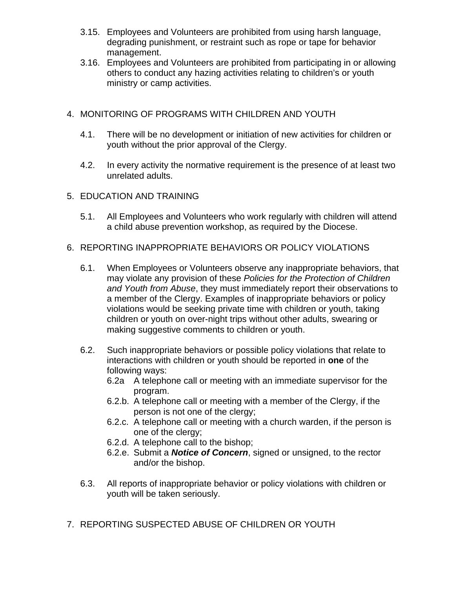- 3.15. Employees and Volunteers are prohibited from using harsh language, degrading punishment, or restraint such as rope or tape for behavior management.
- 3.16. Employees and Volunteers are prohibited from participating in or allowing others to conduct any hazing activities relating to children's or youth ministry or camp activities.

## 4. MONITORING OF PROGRAMS WITH CHILDREN AND YOUTH

- 4.1. There will be no development or initiation of new activities for children or youth without the prior approval of the Clergy.
- 4.2. In every activity the normative requirement is the presence of at least two unrelated adults.
- 5. EDUCATION AND TRAINING
	- 5.1. All Employees and Volunteers who work regularly with children will attend a child abuse prevention workshop, as required by the Diocese.

#### 6. REPORTING INAPPROPRIATE BEHAVIORS OR POLICY VIOLATIONS

- 6.1. When Employees or Volunteers observe any inappropriate behaviors, that may violate any provision of these *Policies for the Protection of Children and Youth from Abuse*, they must immediately report their observations to a member of the Clergy. Examples of inappropriate behaviors or policy violations would be seeking private time with children or youth, taking children or youth on over-night trips without other adults, swearing or making suggestive comments to children or youth.
- 6.2. Such inappropriate behaviors or possible policy violations that relate to interactions with children or youth should be reported in **one** of the following ways:
	- 6.2a A telephone call or meeting with an immediate supervisor for the program.
	- 6.2.b. A telephone call or meeting with a member of the Clergy, if the person is not one of the clergy;
	- 6.2.c. A telephone call or meeting with a church warden, if the person is one of the clergy;
	- 6.2.d. A telephone call to the bishop;
	- 6.2.e. Submit a *Notice of Concern*, signed or unsigned, to the rector and/or the bishop.
- 6.3. All reports of inappropriate behavior or policy violations with children or youth will be taken seriously.
- 7. REPORTING SUSPECTED ABUSE OF CHILDREN OR YOUTH